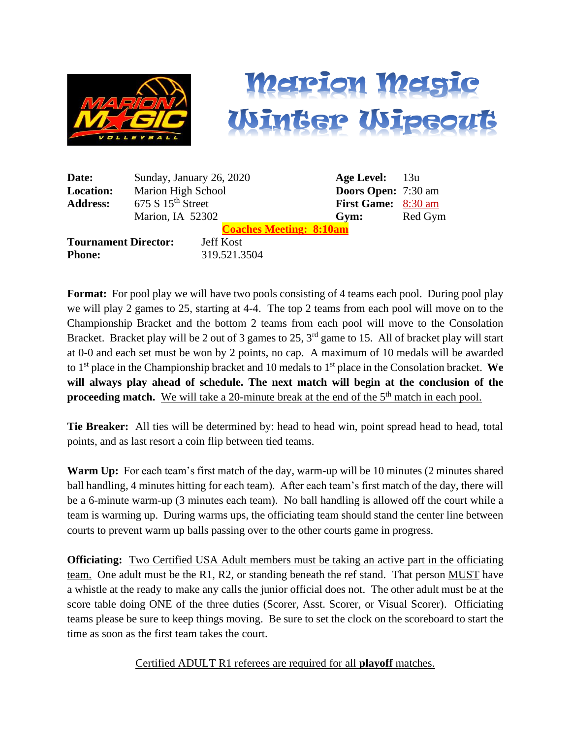



| Date:                       | Sunday, January 26, 2020      |                  |                                | <b>Age Level:</b> 13u |                            |
|-----------------------------|-------------------------------|------------------|--------------------------------|-----------------------|----------------------------|
| <b>Location:</b>            | Marion High School            |                  |                                |                       | <b>Doors Open:</b> 7:30 am |
| <b>Address:</b>             | 675 S 15 <sup>th</sup> Street |                  |                                |                       | First Game: 8:30 am        |
|                             | Marion, IA 52302              |                  | Gym:                           | Red Gym               |                            |
|                             |                               |                  | <b>Coaches Meeting: 8:10am</b> |                       |                            |
| <b>Tournament Director:</b> |                               | <b>Jeff Kost</b> |                                |                       |                            |
| <b>Phone:</b>               |                               | 319.521.3504     |                                |                       |                            |

**Format:** For pool play we will have two pools consisting of 4 teams each pool. During pool play we will play 2 games to 25, starting at 4-4. The top 2 teams from each pool will move on to the Championship Bracket and the bottom 2 teams from each pool will move to the Consolation Bracket. Bracket play will be 2 out of 3 games to 25, 3<sup>rd</sup> game to 15. All of bracket play will start at 0-0 and each set must be won by 2 points, no cap. A maximum of 10 medals will be awarded to 1st place in the Championship bracket and 10 medals to 1st place in the Consolation bracket. **We will always play ahead of schedule. The next match will begin at the conclusion of the**  proceeding match. We will take a 20-minute break at the end of the 5<sup>th</sup> match in each pool.

**Tie Breaker:** All ties will be determined by: head to head win, point spread head to head, total points, and as last resort a coin flip between tied teams.

**Warm Up:** For each team's first match of the day, warm-up will be 10 minutes (2 minutes shared ball handling, 4 minutes hitting for each team). After each team's first match of the day, there will be a 6-minute warm-up (3 minutes each team). No ball handling is allowed off the court while a team is warming up. During warms ups, the officiating team should stand the center line between courts to prevent warm up balls passing over to the other courts game in progress.

**Officiating:** Two Certified USA Adult members must be taking an active part in the officiating team. One adult must be the R1, R2, or standing beneath the ref stand. That person MUST have a whistle at the ready to make any calls the junior official does not. The other adult must be at the score table doing ONE of the three duties (Scorer, Asst. Scorer, or Visual Scorer). Officiating teams please be sure to keep things moving. Be sure to set the clock on the scoreboard to start the time as soon as the first team takes the court.

Certified ADULT R1 referees are required for all **playoff** matches.